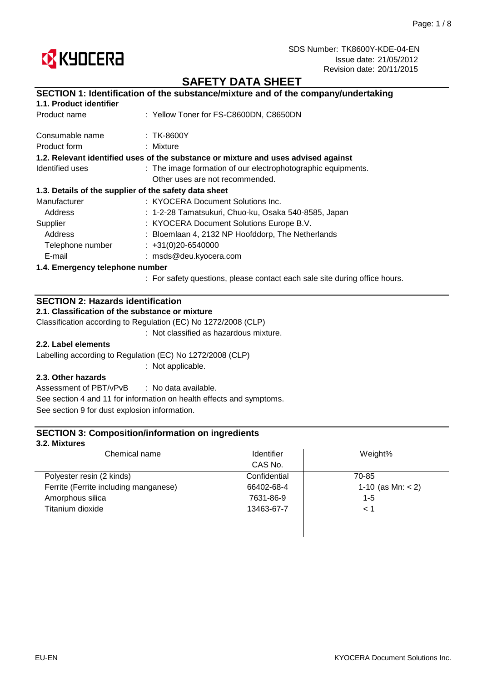

## **SAFETY DATA SHEET**

### **SECTION 1: Identification of the substance/mixture and of the company/undertaking**

| Product name                    | : Yellow Toner for FS-C8600DN, C8650DN                                             |
|---------------------------------|------------------------------------------------------------------------------------|
| Consumable name                 | :TK-8600Y                                                                          |
| Product form                    | : Mixture                                                                          |
|                                 | 1.2. Relevant identified uses of the substance or mixture and uses advised against |
| Identified uses                 | : The image formation of our electrophotographic equipments.                       |
|                                 | Other uses are not recommended.                                                    |
|                                 | 1.3. Details of the supplier of the safety data sheet                              |
| Manufacturer                    | : KYOCERA Document Solutions Inc.                                                  |
| Address                         | : 1-2-28 Tamatsukuri, Chuo-ku, Osaka 540-8585, Japan                               |
| Supplier                        | : KYOCERA Document Solutions Europe B.V.                                           |
| Address                         | : Bloemlaan 4, 2132 NP Hoofddorp, The Netherlands                                  |
| Telephone number                | $\div$ +31(0)20-6540000                                                            |
| E-mail                          | : msds@deu.kyocera.com                                                             |
| 1.4. Emergency telephone number |                                                                                    |
|                                 | : For safety questions, please contact each sale site during office hours.         |

### **SECTION 2: Hazards identification**

**2.1. Classification of the substance or mixture**

Classification according to Regulation (EC) No 1272/2008 (CLP)

: Not classified as hazardous mixture.

### **2.2. Label elements**

Labelling according to Regulation (EC) No 1272/2008 (CLP)

: Not applicable.

### **2.3. Other hazards**

: No data available. See section 9 for dust explosion information. Assessment of PBT/vPvB See section 4 and 11 for information on health effects and symptoms.

### **SECTION 3: Composition/information on ingredients**

### **3.2. Mixtures**

| Chemical name                         | <b>Identifier</b> | Weight%             |  |
|---------------------------------------|-------------------|---------------------|--|
|                                       | CAS No.           |                     |  |
| Polyester resin (2 kinds)             | Confidential      | 70-85               |  |
| Ferrite (Ferrite including manganese) | 66402-68-4        | 1-10 (as Mn: $<$ 2) |  |
| Amorphous silica                      | 7631-86-9         | $1 - 5$             |  |
| Titanium dioxide                      | 13463-67-7        | < 1                 |  |

 $\overline{\phantom{a}}$ 

 $\overline{\phantom{a}}$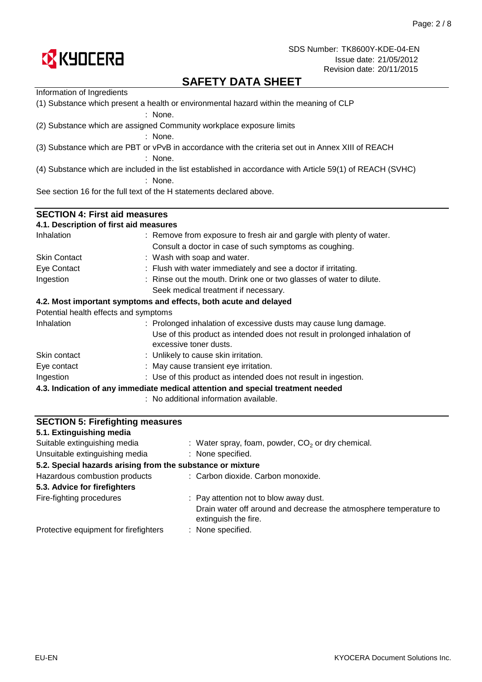

# **SAFETY DATA SHEET**

| Information of Ingredients                                                                                             |                                                                                                      |  |  |  |  |
|------------------------------------------------------------------------------------------------------------------------|------------------------------------------------------------------------------------------------------|--|--|--|--|
| (1) Substance which present a health or environmental hazard within the meaning of CLP<br>: None.                      |                                                                                                      |  |  |  |  |
|                                                                                                                        | (2) Substance which are assigned Community workplace exposure limits<br>: None.                      |  |  |  |  |
|                                                                                                                        |                                                                                                      |  |  |  |  |
|                                                                                                                        | (3) Substance which are PBT or vPvB in accordance with the criteria set out in Annex XIII of REACH   |  |  |  |  |
| $:$ None.                                                                                                              |                                                                                                      |  |  |  |  |
| (4) Substance which are included in the list established in accordance with Article 59(1) of REACH (SVHC)<br>$:$ None. |                                                                                                      |  |  |  |  |
|                                                                                                                        | See section 16 for the full text of the H statements declared above.                                 |  |  |  |  |
| <b>SECTION 4: First aid measures</b>                                                                                   |                                                                                                      |  |  |  |  |
| 4.1. Description of first aid measures                                                                                 |                                                                                                      |  |  |  |  |
| Inhalation                                                                                                             | : Remove from exposure to fresh air and gargle with plenty of water.                                 |  |  |  |  |
|                                                                                                                        | Consult a doctor in case of such symptoms as coughing.                                               |  |  |  |  |
| <b>Skin Contact</b>                                                                                                    | : Wash with soap and water.                                                                          |  |  |  |  |
| Eye Contact                                                                                                            | : Flush with water immediately and see a doctor if irritating.                                       |  |  |  |  |
| Ingestion                                                                                                              | : Rinse out the mouth. Drink one or two glasses of water to dilute.                                  |  |  |  |  |
|                                                                                                                        | Seek medical treatment if necessary.                                                                 |  |  |  |  |
|                                                                                                                        | 4.2. Most important symptoms and effects, both acute and delayed                                     |  |  |  |  |
| Potential health effects and symptoms                                                                                  |                                                                                                      |  |  |  |  |
| Inhalation                                                                                                             | : Prolonged inhalation of excessive dusts may cause lung damage.                                     |  |  |  |  |
|                                                                                                                        | Use of this product as intended does not result in prolonged inhalation of<br>excessive toner dusts. |  |  |  |  |
| Skin contact                                                                                                           | : Unlikely to cause skin irritation.                                                                 |  |  |  |  |
| Eye contact                                                                                                            | : May cause transient eye irritation.                                                                |  |  |  |  |
| Ingestion                                                                                                              | : Use of this product as intended does not result in ingestion.                                      |  |  |  |  |
|                                                                                                                        | 4.3. Indication of any immediate medical attention and special treatment needed                      |  |  |  |  |
|                                                                                                                        | : No additional information available.                                                               |  |  |  |  |

| <b>SECTION 5: Firefighting measures</b>                    |                                                                                           |
|------------------------------------------------------------|-------------------------------------------------------------------------------------------|
| 5.1. Extinguishing media                                   |                                                                                           |
| Suitable extinguishing media                               | : Water spray, foam, powder, $CO2$ or dry chemical.                                       |
| Unsuitable extinguishing media                             | : None specified.                                                                         |
| 5.2. Special hazards arising from the substance or mixture |                                                                                           |
| Hazardous combustion products                              | : Carbon dioxide. Carbon monoxide.                                                        |
| 5.3. Advice for firefighters                               |                                                                                           |
| Fire-fighting procedures                                   | : Pay attention not to blow away dust.                                                    |
|                                                            | Drain water off around and decrease the atmosphere temperature to<br>extinguish the fire. |
| Protective equipment for firefighters                      | : None specified.                                                                         |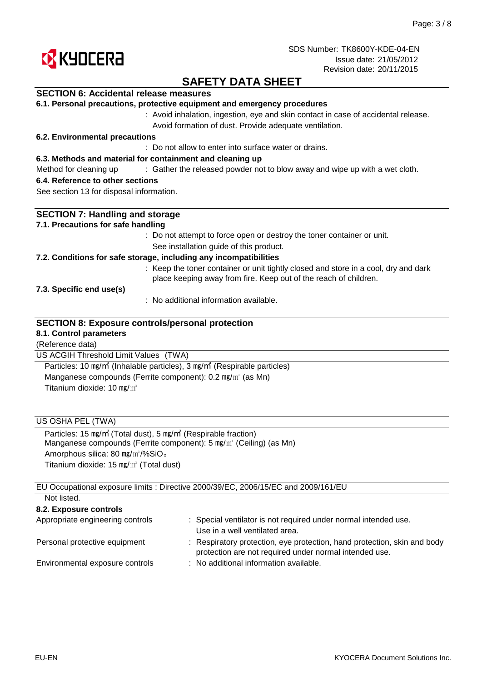

## **SAFETY DATA SHEET**

### **SECTION 6: Accidental release measures**

|  |  | 6.1. Personal precautions, protective equipment and emergency procedures |  |  |  |  |  |
|--|--|--------------------------------------------------------------------------|--|--|--|--|--|
|--|--|--------------------------------------------------------------------------|--|--|--|--|--|

: Avoid inhalation, ingestion, eye and skin contact in case of accidental release. Avoid formation of dust. Provide adequate ventilation.

### **6.2. Environmental precautions**

: Do not allow to enter into surface water or drains.

#### **6.3. Methods and material for containment and cleaning up**

Method for cleaning up exclosive of the released powder not to blow away and wipe up with a wet cloth.

### **6.4. Reference to other sections**

See section 13 for disposal information.

| <b>SECTION 7: Handling and storage</b>                                                            |
|---------------------------------------------------------------------------------------------------|
| 7.1. Precautions for safe handling                                                                |
| : Do not attempt to force open or destroy the toner container or unit.                            |
| See installation guide of this product.                                                           |
| 7.2. Conditions for safe storage, including any incompatibilities                                 |
| : Keep the toner container or unit tightly closed and store in a cool, dry and dark               |
| place keeping away from fire. Keep out of the reach of children.                                  |
| 7.3. Specific end use(s)                                                                          |
| : No additional information available.                                                            |
|                                                                                                   |
| <b>SECTION 8: Exposure controls/personal protection</b>                                           |
| 8.1. Control parameters                                                                           |
| (Reference data)                                                                                  |
| US ACGIH Threshold Limit Values (TWA)                                                             |
| Particles: 10 mg/m <sup>3</sup> (Inhalable particles), 3 mg/m <sup>3</sup> (Respirable particles) |
| Manganese compounds (Ferrite component): 0.2 mg/m <sup>3</sup> (as Mn)                            |
| Titanium dioxide: 10 $mg/m3$                                                                      |
|                                                                                                   |
|                                                                                                   |
| US OSHA PEL (TWA)                                                                                 |
| Particles: 15 mg/m <sup>3</sup> (Total dust), 5 mg/m <sup>3</sup> (Respirable fraction)           |
| Manganese compounds (Ferrite component): 5 mg/m <sup>3</sup> (Ceiling) (as Mn)                    |
| Amorphous silica: 80 mg/m <sup>3</sup> /%SiO <sub>2</sub>                                         |
| Titanium dioxide: $15 \text{ mg/m}^3$ (Total dust)                                                |
|                                                                                                   |
| EU Occupational exposure limits : Directive 2000/39/EC, 2006/15/EC and 2009/161/EU                |
| Not listed.                                                                                       |
| 8.2. Exposure controls                                                                            |
|                                                                                                   |

| Appropriate engineering controls | : Special ventilator is not required under normal intended use.                                                                    |
|----------------------------------|------------------------------------------------------------------------------------------------------------------------------------|
|                                  | Use in a well ventilated area.                                                                                                     |
| Personal protective equipment    | : Respiratory protection, eye protection, hand protection, skin and body<br>protection are not required under normal intended use. |
| Environmental exposure controls  | : No additional information available.                                                                                             |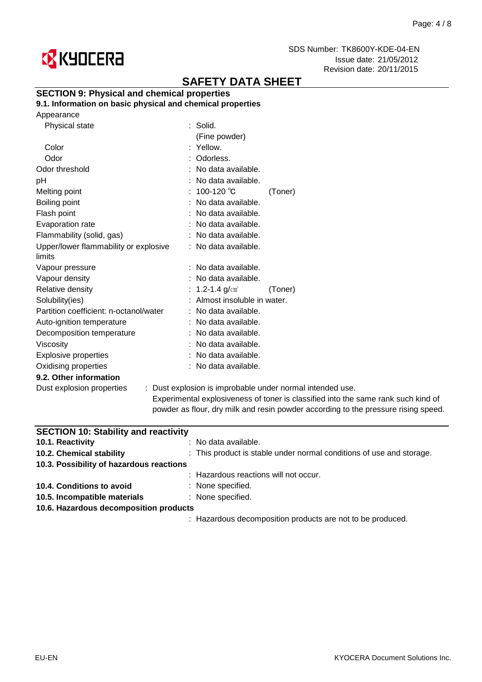

# **SAFETY DATA SHEET**

### **SECTION 9: Physical and chemical properties**

**9.1. Information on basic physical and chemical properties**

|  | Appearance |
|--|------------|
|--|------------|

| Physical state                         | : Solid.                                               |         |
|----------------------------------------|--------------------------------------------------------|---------|
|                                        | (Fine powder)                                          |         |
| Color                                  | : Yellow.                                              |         |
| Odor                                   | : Odorless.                                            |         |
| Odor threshold                         | : No data available.                                   |         |
| рH                                     | : No data available.                                   |         |
| Melting point                          | : 100-120 ℃                                            | (Toner) |
| Boiling point                          | : No data available.                                   |         |
| Flash point                            | : No data available.                                   |         |
| Evaporation rate                       | : No data available.                                   |         |
| Flammability (solid, gas)              | : No data available.                                   |         |
| Upper/lower flammability or explosive  | : No data available.                                   |         |
| limits                                 |                                                        |         |
| Vapour pressure                        | : No data available.                                   |         |
| Vapour density                         | : No data available.                                   |         |
| Relative density                       | : 1.2-1.4 g/cm $^{\circ}$                              | (Toner) |
| Solubility(ies)                        | : Almost insoluble in water.                           |         |
| Partition coefficient: n-octanol/water | : No data available.                                   |         |
| Auto-ignition temperature              | : No data available.                                   |         |
| Decomposition temperature              | : No data available.                                   |         |
| <b>Viscosity</b>                       | : No data available.                                   |         |
| <b>Explosive properties</b>            | : No data available.                                   |         |
| Oxidising properties                   | : No data available.                                   |         |
| 9.2. Other information                 |                                                        |         |
| Dust explosion properties              | : Dust explosion is improbable under normal inte       |         |
|                                        | الماما مالده متملئة متمام ومتناوب المتنب الملدة ومداور |         |

Experimental explosiveness of toner is classified into the same rank such kind of powder as flour, dry milk and resin powder according to the pressure rising speed. ended use.

| <b>SECTION 10: Stability and reactivity</b> |                                                                      |
|---------------------------------------------|----------------------------------------------------------------------|
| 10.1. Reactivity                            | $:$ No data available.                                               |
| 10.2. Chemical stability                    | : This product is stable under normal conditions of use and storage. |
| 10.3. Possibility of hazardous reactions    |                                                                      |
|                                             | : Hazardous reactions will not occur.                                |
| 10.4. Conditions to avoid                   | : None specified.                                                    |
| 10.5. Incompatible materials                | : None specified.                                                    |
| 10.6. Hazardous decomposition products      |                                                                      |
|                                             | : Hazardous decomposition products are not to be produced.           |
|                                             |                                                                      |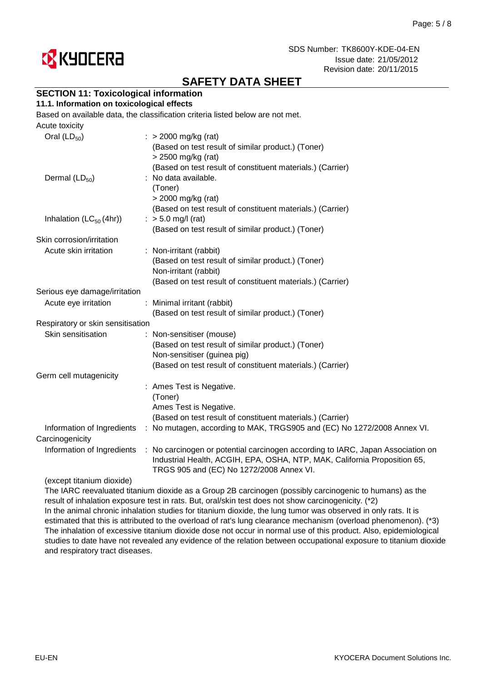

# **SAFETY DATA SHEET**

### **SECTION 11: Toxicological information**

### **11.1. Information on toxicological effects**

Based on available data, the classification criteria listed below are not met.

| Acute toxicity                      |                                                                                                                                                                                                          |
|-------------------------------------|----------------------------------------------------------------------------------------------------------------------------------------------------------------------------------------------------------|
| Oral $(LD_{50})$                    | $\therefore$ > 2000 mg/kg (rat)<br>(Based on test result of similar product.) (Toner)<br>> 2500 mg/kg (rat)<br>(Based on test result of constituent materials.) (Carrier)                                |
| Dermal $(LD_{50})$                  | : No data available.<br>(Toner)<br>> 2000 mg/kg (rat)<br>(Based on test result of constituent materials.) (Carrier)                                                                                      |
| Inhalation (LC <sub>50</sub> (4hr)) | $:$ > 5.0 mg/l (rat)<br>(Based on test result of similar product.) (Toner)                                                                                                                               |
| Skin corrosion/irritation           |                                                                                                                                                                                                          |
| Acute skin irritation               | : Non-irritant (rabbit)<br>(Based on test result of similar product.) (Toner)<br>Non-irritant (rabbit)<br>(Based on test result of constituent materials.) (Carrier)                                     |
| Serious eye damage/irritation       |                                                                                                                                                                                                          |
| Acute eye irritation                | : Minimal irritant (rabbit)<br>(Based on test result of similar product.) (Toner)                                                                                                                        |
| Respiratory or skin sensitisation   |                                                                                                                                                                                                          |
| Skin sensitisation                  | : Non-sensitiser (mouse)<br>(Based on test result of similar product.) (Toner)<br>Non-sensitiser (guinea pig)<br>(Based on test result of constituent materials.) (Carrier)                              |
| Germ cell mutagenicity              |                                                                                                                                                                                                          |
|                                     | : Ames Test is Negative.<br>(Toner)<br>Ames Test is Negative.<br>(Based on test result of constituent materials.) (Carrier)                                                                              |
| Information of Ingredients          | : No mutagen, according to MAK, TRGS905 and (EC) No 1272/2008 Annex VI.                                                                                                                                  |
| Carcinogenicity                     |                                                                                                                                                                                                          |
| Information of Ingredients          | : No carcinogen or potential carcinogen according to IARC, Japan Association on<br>Industrial Health, ACGIH, EPA, OSHA, NTP, MAK, California Proposition 65,<br>TRGS 905 and (EC) No 1272/2008 Annex VI. |

#### (except titanium dioxide)

The IARC reevaluated titanium dioxide as a Group 2B carcinogen (possibly carcinogenic to humans) as the result of inhalation exposure test in rats. But, oral/skin test does not show carcinogenicity. (\*2) In the animal chronic inhalation studies for titanium dioxide, the lung tumor was observed in only rats. It is estimated that this is attributed to the overload of rat's lung clearance mechanism (overload phenomenon). (\*3) The inhalation of excessive titanium dioxide dose not occur in normal use of this product. Also, epidemiological studies to date have not revealed any evidence of the relation between occupational exposure to titanium dioxide and respiratory tract diseases.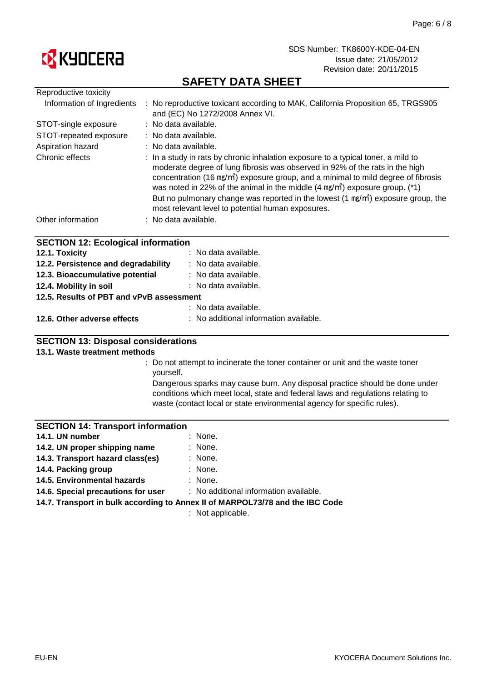

# **SAFETY DATA SHEET**

| Reproductive toxicity                     |                                                                                                                                                                                                                                                                                                                                                                                                                                                                                                                 |  |  |  |
|-------------------------------------------|-----------------------------------------------------------------------------------------------------------------------------------------------------------------------------------------------------------------------------------------------------------------------------------------------------------------------------------------------------------------------------------------------------------------------------------------------------------------------------------------------------------------|--|--|--|
| Information of Ingredients                | : No reproductive toxicant according to MAK, California Proposition 65, TRGS905<br>and (EC) No 1272/2008 Annex VI.                                                                                                                                                                                                                                                                                                                                                                                              |  |  |  |
| STOT-single exposure                      | : No data available.                                                                                                                                                                                                                                                                                                                                                                                                                                                                                            |  |  |  |
| STOT-repeated exposure                    | : No data available.                                                                                                                                                                                                                                                                                                                                                                                                                                                                                            |  |  |  |
| Aspiration hazard                         | : No data available.                                                                                                                                                                                                                                                                                                                                                                                                                                                                                            |  |  |  |
| Chronic effects                           | : In a study in rats by chronic inhalation exposure to a typical toner, a mild to<br>moderate degree of lung fibrosis was observed in 92% of the rats in the high<br>concentration (16 mg/m <sup>3</sup> ) exposure group, and a minimal to mild degree of fibrosis<br>was noted in 22% of the animal in the middle $(4 \text{ mg/m}^3)$ exposure group. (*1)<br>But no pulmonary change was reported in the lowest $(1 \text{ mg/m})$ exposure group, the<br>most relevant level to potential human exposures. |  |  |  |
| Other information                         | : No data available.                                                                                                                                                                                                                                                                                                                                                                                                                                                                                            |  |  |  |
| <b>SECTION 12: Ecological information</b> |                                                                                                                                                                                                                                                                                                                                                                                                                                                                                                                 |  |  |  |
| 12.1. Toxicity                            | : No data available.                                                                                                                                                                                                                                                                                                                                                                                                                                                                                            |  |  |  |
| 12.2. Persistence and degradability       | : No data available.                                                                                                                                                                                                                                                                                                                                                                                                                                                                                            |  |  |  |
| 12.3. Bioaccumulative potential           | : No data available.                                                                                                                                                                                                                                                                                                                                                                                                                                                                                            |  |  |  |
| 12.4. Mobility in soil                    | : No data available.                                                                                                                                                                                                                                                                                                                                                                                                                                                                                            |  |  |  |

### **12.5. Results of PBT and vPvB assessment**

|                             | : No data available.                   |
|-----------------------------|----------------------------------------|
| 12.6. Other adverse effects | : No additional information available. |

### **SECTION 13: Disposal considerations**

### **13.1. Waste treatment methods**

: Do not attempt to incinerate the toner container or unit and the waste toner yourself.

Dangerous sparks may cause burn. Any disposal practice should be done under conditions which meet local, state and federal laws and regulations relating to waste (contact local or state environmental agency for specific rules).

### **SECTION 14: Transport information**

| 14.1. UN number                  | : None.   |
|----------------------------------|-----------|
| 14.2. UN proper shipping name    | : None.   |
| 14.3. Transport hazard class(es) | $:$ None. |
| 14.4. Packing group              | : None.   |

- **14.4. Packing group**
- : None. **14.6. Special precautions for user 14.5. Environmental hazards**

: No additional information available.

**14.7. Transport in bulk according to Annex II of MARPOL73/78 and the IBC Code**

: Not applicable.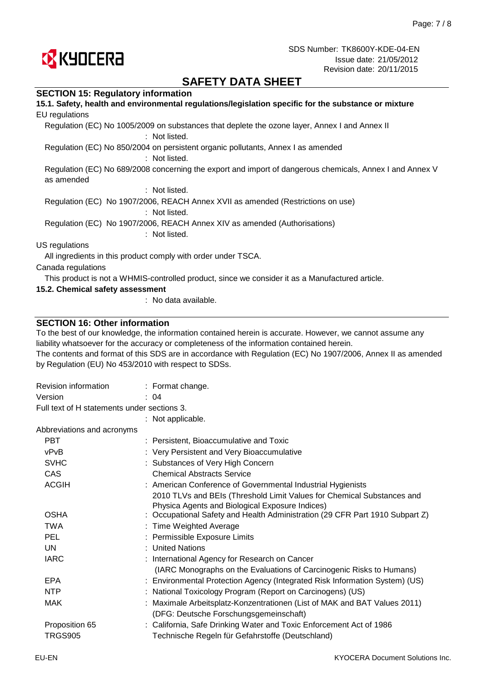

## **SAFETY DATA SHEET**

### **SECTION 15: Regulatory information**

| 15.1. Safety, health and environmental regulations/legislation specific for the substance or mixture                   |
|------------------------------------------------------------------------------------------------------------------------|
| EU regulations                                                                                                         |
| Regulation (EC) No 1005/2009 on substances that deplete the ozone layer, Annex I and Annex II<br>: Not listed.         |
| Regulation (EC) No 850/2004 on persistent organic pollutants, Annex I as amended<br>: Not listed.                      |
| Regulation (EC) No 689/2008 concerning the export and import of dangerous chemicals, Annex I and Annex V<br>as amended |
| : Not listed.                                                                                                          |
| Regulation (EC) No 1907/2006, REACH Annex XVII as amended (Restrictions on use)<br>: Not listed.                       |
| Regulation (EC) No 1907/2006, REACH Annex XIV as amended (Authorisations)<br>: Not listed.                             |
| US regulations                                                                                                         |
| All ingredients in this product comply with order under TSCA.                                                          |
| Canada regulations                                                                                                     |
| This product is not a WHMIS-controlled product, since we consider it as a Manufactured article.                        |
| 15.2. Chemical safety assessment                                                                                       |

: No data available.

### **SECTION 16: Other information**

To the best of our knowledge, the information contained herein is accurate. However, we cannot assume any liability whatsoever for the accuracy or completeness of the information contained herein.

The contents and format of this SDS are in accordance with Regulation (EC) No 1907/2006, Annex II as amended by Regulation (EU) No 453/2010 with respect to SDSs.

| Revision information                        | $:$ Format change.                                                           |
|---------------------------------------------|------------------------------------------------------------------------------|
| Version                                     | : 04                                                                         |
| Full text of H statements under sections 3. |                                                                              |
|                                             | : Not applicable.                                                            |
| Abbreviations and acronyms                  |                                                                              |
| <b>PBT</b>                                  | : Persistent, Bioaccumulative and Toxic                                      |
| vPvB                                        | : Very Persistent and Very Bioaccumulative                                   |
| <b>SVHC</b>                                 | : Substances of Very High Concern                                            |
| CAS                                         | <b>Chemical Abstracts Service</b>                                            |
| <b>ACGIH</b>                                | : American Conference of Governmental Industrial Hygienists                  |
|                                             | 2010 TLVs and BEIs (Threshold Limit Values for Chemical Substances and       |
|                                             | Physica Agents and Biological Exposure Indices)                              |
| <b>OSHA</b>                                 | : Occupational Safety and Health Administration (29 CFR Part 1910 Subpart Z) |
| <b>TWA</b>                                  | : Time Weighted Average                                                      |
| <b>PEL</b>                                  | : Permissible Exposure Limits                                                |
| UN                                          | : United Nations                                                             |
| <b>IARC</b>                                 | : International Agency for Research on Cancer                                |
|                                             | (IARC Monographs on the Evaluations of Carcinogenic Risks to Humans)         |
| <b>EPA</b>                                  | : Environmental Protection Agency (Integrated Risk Information System) (US)  |
| <b>NTP</b>                                  | : National Toxicology Program (Report on Carcinogens) (US)                   |
| MAK                                         | : Maximale Arbeitsplatz-Konzentrationen (List of MAK and BAT Values 2011)    |
|                                             | (DFG: Deutsche Forschungsgemeinschaft)                                       |
| Proposition 65                              | : California, Safe Drinking Water and Toxic Enforcement Act of 1986          |
| <b>TRGS905</b>                              | Technische Regeln für Gefahrstoffe (Deutschland)                             |